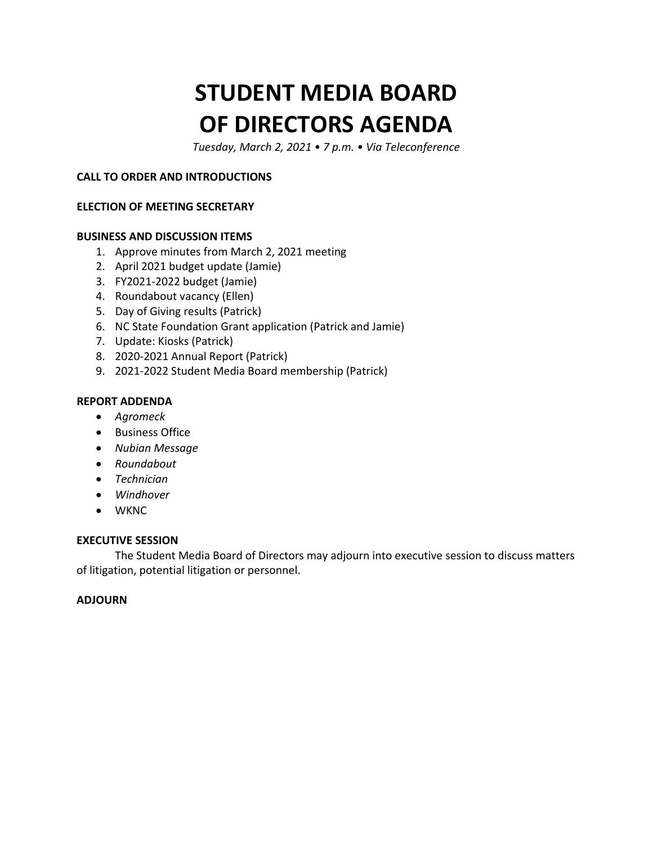# **STUDENT MEDIA BOARD OF DIRECTORS AGENDA**

 *Tuesday, March 2, 2021 • 7 p.m. • Via Teleconference* 

#### **CALL TO ORDER AND INTRODUCTIONS**

#### **ELECTION OF MEETING SECRETARY**

#### **BUSINESS AND DISCUSSION ITEMS**

- 1. Approve minutes from March 2, 2021 meeting
- 2. April 2021 budget update (Jamie)
- 3. FY2021-2022 budget (Jamie)
- 4. Roundabout vacancy (Ellen)
- 5. Day of Giving results (Patrick)
- 6. NC State Foundation Grant application (Patrick and Jamie)
- 7. Update: Kiosks (Patrick)
- 8. 2020-2021 Annual Report (Patrick)
- 9. 2021-2022 Student Media Board membership (Patrick)

#### **REPORT ADDENDA**

- *Agromeck*
- Business Office
- *Nubian Message*
- *Roundabout*
- *Technician*
- *Windhover*
- WKNC

#### **EXECUTIVE SESSION**

The Student Media Board of Directors may adjourn into executive session to discuss matters of litigation, potential litigation or personnel.

#### **ADJOURN**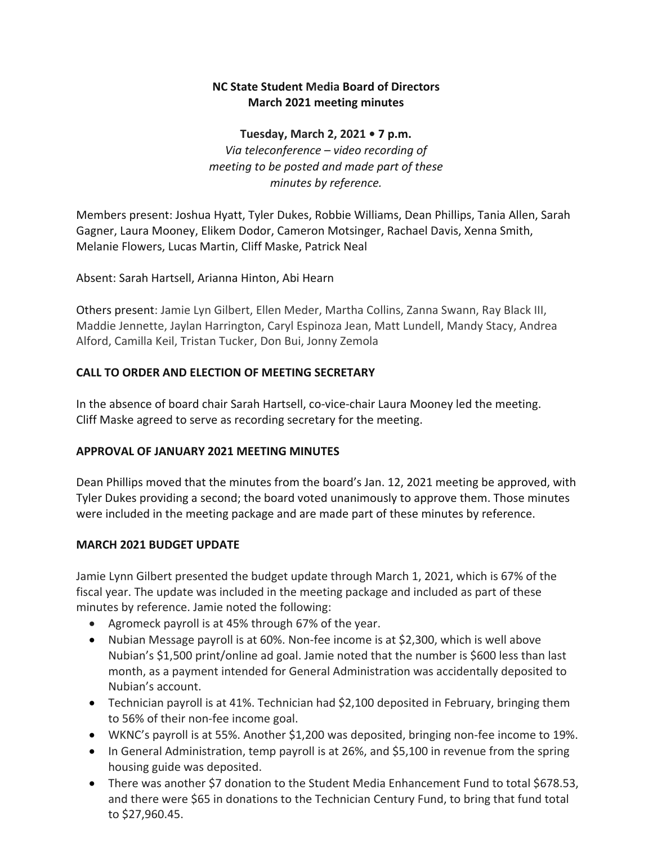### **March 2021 meeting minutes NC State Student Media Board of Directors**

 *Via teleconference – video recording of*  **Tuesday, March 2, 2021 • 7 p.m.**  *meeting to be posted and made part of these minutes by reference.* 

 Melanie Flowers, Lucas Martin, Cliff Maske, Patrick Neal Members present: Joshua Hyatt, Tyler Dukes, Robbie Williams, Dean Phillips, Tania Allen, Sarah Gagner, Laura Mooney, Elikem Dodor, Cameron Motsinger, Rachael Davis, Xenna Smith,

Absent: Sarah Hartsell, Arianna Hinton, Abi Hearn

Others present: Jamie Lyn Gilbert, Ellen Meder, Martha Collins, Zanna Swann, Ray Black III, Maddie Jennette, Jaylan Harrington, Caryl Espinoza Jean, Matt Lundell, Mandy Stacy, Andrea Alford, Camilla Keil, Tristan Tucker, Don Bui, Jonny Zemola

#### **CALL TO ORDER AND ELECTION OF MEETING SECRETARY**

In the absence of board chair Sarah Hartsell, co-vice-chair Laura Mooney led the meeting. Cliff Maske agreed to serve as recording secretary for the meeting.

#### **APPROVAL OF JANUARY 2021 MEETING MINUTES**

 Dean Phillips moved that the minutes from the board's Jan. 12, 2021 meeting be approved, with Tyler Dukes providing a second; the board voted unanimously to approve them. Those minutes were included in the meeting package and are made part of these minutes by reference.

#### **MARCH 2021 BUDGET UPDATE**

Jamie Lynn Gilbert presented the budget update through March 1, 2021, which is 67% of the fiscal year. The update was included in the meeting package and included as part of these minutes by reference. Jamie noted the following:

- Agromeck payroll is at 45% through 67% of the year.
- Nubian Message payroll is at 60%. Non-fee income is at \$2,300, which is well above Nubian's \$1,500 print/online ad goal. Jamie noted that the number is \$600 less than last month, as a payment intended for General Administration was accidentally deposited to Nubian's account.
- Technician payroll is at 41%. Technician had \$2,100 deposited in February, bringing them to 56% of their non-fee income goal.
- WKNC's payroll is at 55%. Another \$1,200 was deposited, bringing non-fee income to 19%.
- In General Administration, temp payroll is at 26%, and \$5,100 in revenue from the spring housing guide was deposited.
- and there were \$65 in donations to the Technician Century Fund, to bring that fund total • There was another \$7 donation to the Student Media Enhancement Fund to total \$678.53, to \$[27,960.45](https://27,960.45).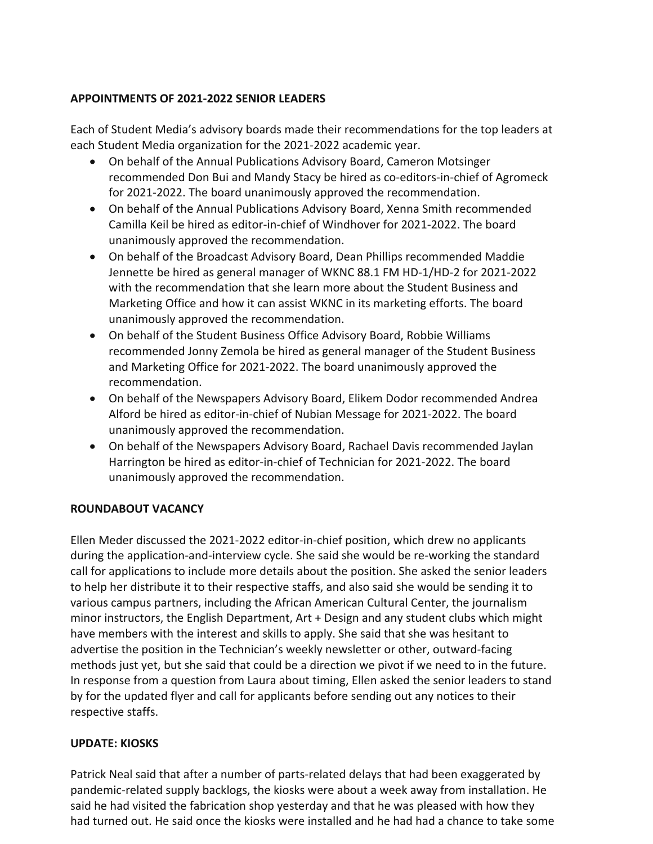#### **APPOINTMENTS OF 2021-2022 SENIOR LEADERS**

Each of Student Media's advisory boards made their recommendations for the top leaders at each Student Media organization for the 2021-2022 academic year.

- On behalf of the Annual Publications Advisory Board, Cameron Motsinger recommended Don Bui and Mandy Stacy be hired as co-editors-in-chief of Agromeck for 2021-2022. The board unanimously approved the recommendation.
- Camilla Keil be hired as editor-in-chief of Windhover for 2021-2022. The board • On behalf of the Annual Publications Advisory Board, Xenna Smith recommended unanimously approved the recommendation.
- On behalf of the Broadcast Advisory Board, Dean Phillips recommended Maddie Jennette be hired as general manager of WKNC 88.1 FM HD-1/HD-2 for 2021-2022 with the recommendation that she learn more about the Student Business and Marketing Office and how it can assist WKNC in its marketing efforts. The board unanimously approved the recommendation.
- On behalf of the Student Business Office Advisory Board, Robbie Williams recommended Jonny Zemola be hired as general manager of the Student Business and Marketing Office for 2021-2022. The board unanimously approved the recommendation.
- On behalf of the Newspapers Advisory Board, Elikem Dodor recommended Andrea Alford be hired as editor-in-chief of Nubian Message for 2021-2022. The board unanimously approved the recommendation.
- Harrington be hired as editor-in-chief of Technician for 2021-2022. The board • On behalf of the Newspapers Advisory Board, Rachael Davis recommended Jaylan unanimously approved the recommendation.

#### **ROUNDABOUT VACANCY**

Ellen Meder discussed the 2021-2022 editor-in-chief position, which drew no applicants during the application-and-interview cycle. She said she would be re-working the standard call for applications to include more details about the position. She asked the senior leaders to help her distribute it to their respective staffs, and also said she would be sending it to various campus partners, including the African American Cultural Center, the journalism minor instructors, the English Department, Art + Design and any student clubs which might have members with the interest and skills to apply. She said that she was hesitant to advertise the position in the Technician's weekly newsletter or other, outward-facing methods just yet, but she said that could be a direction we pivot if we need to in the future. In response from a question from Laura about timing, Ellen asked the senior leaders to stand by for the updated flyer and call for applicants before sending out any notices to their respective staffs.

#### **UPDATE: KIOSKS**

 Patrick Neal said that after a number of parts-related delays that had been exaggerated by pandemic-related supply backlogs, the kiosks were about a week away from installation. He said he had visited the fabrication shop yesterday and that he was pleased with how they had turned out. He said once the kiosks were installed and he had had a chance to take some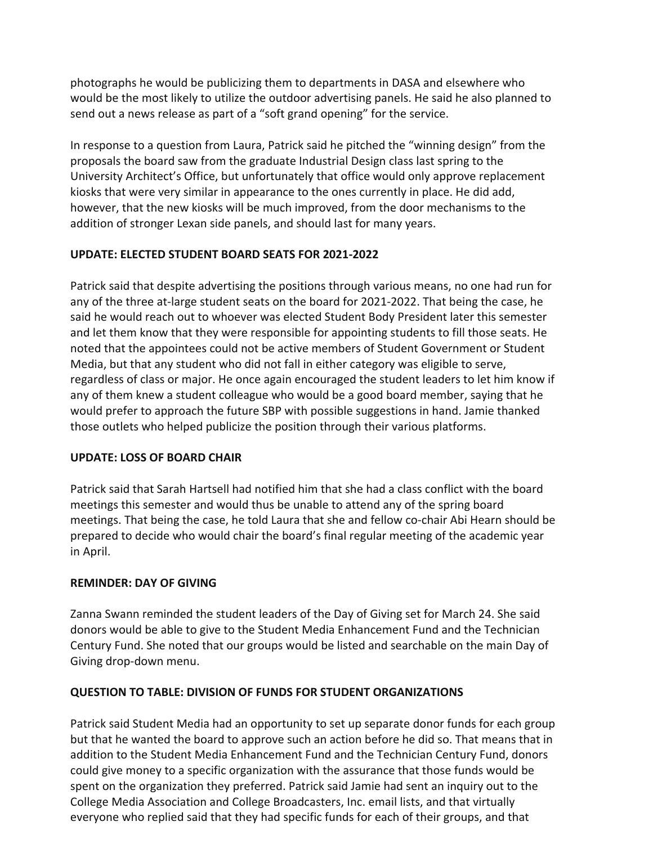photographs he would be publicizing them to departments in DASA and elsewhere who send out a news release as part of a "soft grand opening" for the service. would be the most likely to utilize the outdoor advertising panels. He said he also planned to

 In response to a question from Laura, Patrick said he pitched the "winning design" from the proposals the board saw from the graduate Industrial Design class last spring to the University Architect's Office, but unfortunately that office would only approve replacement kiosks that were very similar in appearance to the ones currently in place. He did add, however, that the new kiosks will be much improved, from the door mechanisms to the addition of stronger Lexan side panels, and should last for many years.

### **UPDATE: ELECTED STUDENT BOARD SEATS FOR 2021-2022**

 and let them know that they were responsible for appointing students to fill those seats. He Patrick said that despite advertising the positions through various means, no one had run for any of the three at-large student seats on the board for 2021-2022. That being the case, he said he would reach out to whoever was elected Student Body President later this semester noted that the appointees could not be active members of Student Government or Student Media, but that any student who did not fall in either category was eligible to serve, regardless of class or major. He once again encouraged the student leaders to let him know if any of them knew a student colleague who would be a good board member, saying that he would prefer to approach the future SBP with possible suggestions in hand. Jamie thanked those outlets who helped publicize the position through their various platforms.

## **UPDATE: LOSS OF BOARD CHAIR**

 meetings this semester and would thus be unable to attend any of the spring board Patrick said that Sarah Hartsell had notified him that she had a class conflict with the board meetings. That being the case, he told Laura that she and fellow co-chair Abi Hearn should be prepared to decide who would chair the board's final regular meeting of the academic year in April.

## **REMINDER: DAY OF GIVING**

Zanna Swann reminded the student leaders of the Day of Giving set for March 24. She said donors would be able to give to the Student Media Enhancement Fund and the Technician Century Fund. She noted that our groups would be listed and searchable on the main Day of Giving drop-down menu.

## **QUESTION TO TABLE: DIVISION OF FUNDS FOR STUDENT ORGANIZATIONS**

Patrick said Student Media had an opportunity to set up separate donor funds for each group but that he wanted the board to approve such an action before he did so. That means that in addition to the Student Media Enhancement Fund and the Technician Century Fund, donors could give money to a specific organization with the assurance that those funds would be spent on the organization they preferred. Patrick said Jamie had sent an inquiry out to the College Media Association and College Broadcasters, Inc. email lists, and that virtually everyone who replied said that they had specific funds for each of their groups, and that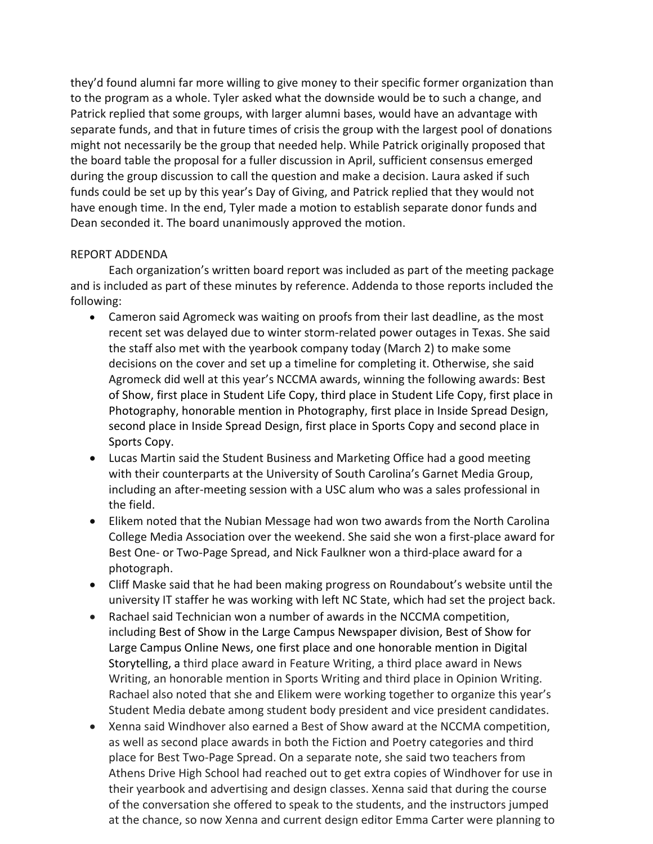they'd found alumni far more willing to give money to their specific former organization than to the program as a whole. Tyler asked what the downside would be to such a change, and Patrick replied that some groups, with larger alumni bases, would have an advantage with separate funds, and that in future times of crisis the group with the largest pool of donations might not necessarily be the group that needed help. While Patrick originally proposed that the board table the proposal for a fuller discussion in April, sufficient consensus emerged during the group discussion to call the question and make a decision. Laura asked if such funds could be set up by this year's Day of Giving, and Patrick replied that they would not have enough time. In the end, Tyler made a motion to establish separate donor funds and Dean seconded it. The board unanimously approved the motion.

#### REPORT ADDENDA

Each organization's written board report was included as part of the meeting package and is included as part of these minutes by reference. Addenda to those reports included the following:

- Cameron said Agromeck was waiting on proofs from their last deadline, as the most recent set was delayed due to winter storm-related power outages in Texas. She said the staff also met with the yearbook company today (March 2) to make some decisions on the cover and set up a timeline for completing it. Otherwise, she said Agromeck did well at this year's NCCMA awards, winning the following awards: Best of Show, first place in Student Life Copy, third place in Student Life Copy, first place in Photography, honorable mention in Photography, first place in Inside Spread Design, second place in Inside Spread Design, first place in Sports Copy and second place in Sports Copy.
- Lucas Martin said the Student Business and Marketing Office had a good meeting with their counterparts at the University of South Carolina's Garnet Media Group, including an after-meeting session with a USC alum who was a sales professional in the field.
- Elikem noted that the Nubian Message had won two awards from the North Carolina College Media Association over the weekend. She said she won a first-place award for Best One- or Two-Page Spread, and Nick Faulkner won a third-place award for a photograph.
- Cliff Maske said that he had been making progress on Roundabout's website until the university IT staffer he was working with left NC State, which had set the project back.
- • Rachael said Technician won a number of awards in the NCCMA competition, Large Campus Online News, one first place and one honorable mention in Digital including Best of Show in the Large Campus Newspaper division, Best of Show for Storytelling, a third place award in Feature Writing, a third place award in News Writing, an honorable mention in Sports Writing and third place in Opinion Writing. Rachael also noted that she and Elikem were working together to organize this year's Student Media debate among student body president and vice president candidates.
- Xenna said Windhover also earned a Best of Show award at the NCCMA competition, as well as second place awards in both the Fiction and Poetry categories and third place for Best Two-Page Spread. On a separate note, she said two teachers from Athens Drive High School had reached out to get extra copies of Windhover for use in their yearbook and advertising and design classes. Xenna said that during the course of the conversation she offered to speak to the students, and the instructors jumped at the chance, so now Xenna and current design editor Emma Carter were planning to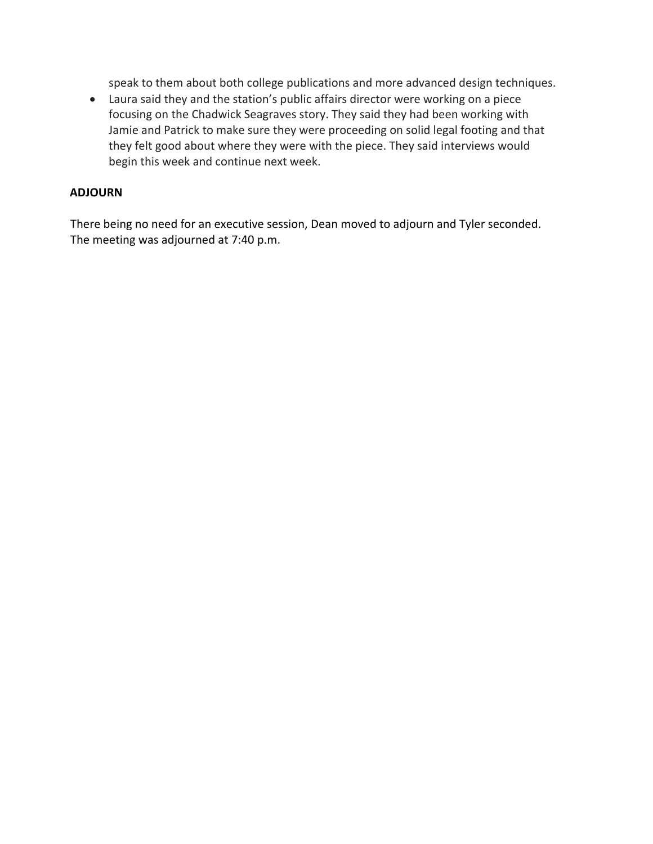speak to them about both college publications and more advanced design techniques.

 focusing on the Chadwick Seagraves story. They said they had been working with • Laura said they and the station's public affairs director were working on a piece Jamie and Patrick to make sure they were proceeding on solid legal footing and that they felt good about where they were with the piece. They said interviews would begin this week and continue next week.

#### **ADJOURN**

 There being no need for an executive session, Dean moved to adjourn and Tyler seconded. The meeting was adjourned at 7:40 p.m.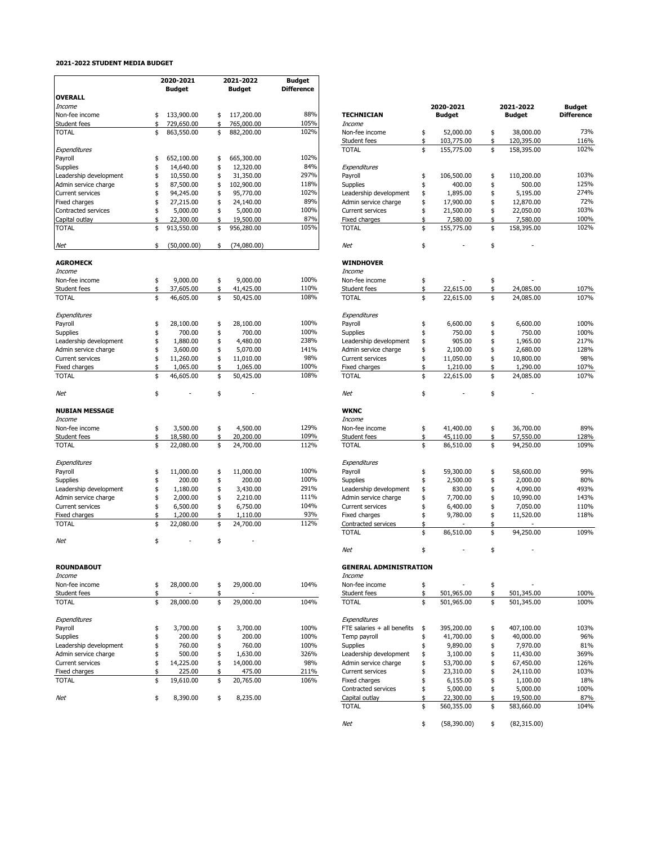#### **2021-2022 STUDENT MEDIA BUDGET**

|                         | 2020-2021         |    | 2021-2022     | <b>Budget</b>     |                               |                          |                |
|-------------------------|-------------------|----|---------------|-------------------|-------------------------------|--------------------------|----------------|
|                         | <b>Budget</b>     |    | <b>Budget</b> | <b>Difference</b> |                               |                          |                |
| <b>OVERALL</b>          |                   |    |               |                   |                               |                          |                |
| <b>Income</b>           |                   |    |               |                   |                               | 2020-2021                | 2021-2022      |
| Non-fee income          | \$<br>133,900.00  | \$ | 117,200.00    | 88%               | <b>TECHNICIAN</b>             | <b>Budget</b>            | <b>Budget</b>  |
| Student fees            | \$<br>729,650.00  | \$ | 765,000.00    | 105%              | Income                        |                          |                |
| <b>TOTAL</b>            | \$<br>863,550.00  | \$ | 882,200.00    | 102%              | Non-fee income                | \$<br>52,000.00          | \$<br>38,000.  |
|                         |                   |    |               |                   | Student fees                  | \$<br>103,775.00         | \$<br>120,395. |
| Expenditures            |                   |    |               |                   | <b>TOTAL</b>                  | \$<br>155,775.00         | \$<br>158,395. |
| Payroll                 | \$<br>652,100.00  | \$ | 665,300.00    | 102%              |                               |                          |                |
| Supplies                | \$<br>14,640.00   | \$ | 12,320.00     | 84%               | Expenditures                  |                          |                |
|                         |                   |    |               | 297%              |                               |                          |                |
| Leadership development  | \$<br>10,550.00   | \$ | 31,350.00     |                   | Payroll                       | \$<br>106,500.00         | \$<br>110,200. |
| Admin service charge    | \$<br>87,500.00   | \$ | 102,900.00    | 118%              | Supplies                      | \$<br>400.00             | \$<br>500.     |
| Current services        | \$<br>94,245.00   | \$ | 95,770.00     | 102%              | Leadership development        | \$<br>1,895.00           | \$<br>5,195.   |
| Fixed charges           | \$<br>27,215.00   | \$ | 24,140.00     | 89%               | Admin service charge          | \$<br>17,900.00          | \$<br>12,870.  |
| Contracted services     | \$<br>5,000.00    | \$ | 5,000.00      | 100%              | Current services              | \$<br>21,500.00          | \$<br>22,050.  |
| Capital outlay          | \$<br>22,300.00   | ፍ  | 19,500.00     | 87%               | Fixed charges                 | \$<br>7,580.00           | \$<br>7,580.   |
| <b>TOTAL</b>            | \$<br>913,550.00  | \$ | 956,280.00    | 105%              | <b>TOTAL</b>                  | \$<br>155,775.00         | \$<br>158,395. |
| Net                     | \$<br>(50,000.00) | \$ | (74,080.00)   |                   | Net                           | \$                       | \$             |
|                         |                   |    |               |                   |                               |                          |                |
| <b>AGROMECK</b>         |                   |    |               |                   | <b>WINDHOVER</b>              |                          |                |
| Income                  |                   |    |               |                   | Income                        |                          |                |
| Non-fee income          | \$<br>9,000.00    | \$ | 9,000.00      | 100%              | Non-fee income                | \$                       | \$             |
| Student fees            | \$<br>37,605.00   | \$ | 41,425.00     | 110%              | Student fees                  | \$<br>22,615.00          | \$<br>24,085.  |
| <b>TOTAL</b>            | \$<br>46,605.00   | \$ | 50,425.00     | 108%              | <b>TOTAL</b>                  | \$<br>22,615.00          | \$<br>24,085.  |
| Expenditures            |                   |    |               |                   | Expenditures                  |                          |                |
| Payroll                 | \$<br>28,100.00   | \$ | 28,100.00     | 100%              | Payroll                       | \$<br>6,600.00           | \$<br>6,600.   |
| Supplies                | \$<br>700.00      | \$ | 700.00        | 100%              | <b>Supplies</b>               | \$<br>750.00             | \$<br>750.     |
|                         | \$                | \$ |               | 238%              | Leadership development        |                          |                |
| Leadership development  | 1,880.00          |    | 4,480.00      | 141%              |                               | \$<br>905.00<br>2,100.00 | \$<br>1,965    |
| Admin service charge    | \$<br>3,600.00    | \$ | 5,070.00      |                   | Admin service charge          | \$                       | \$<br>2,680.   |
| <b>Current services</b> | \$<br>11,260.00   | \$ | 11,010.00     | 98%               | <b>Current services</b>       | \$<br>11,050.00          | \$<br>10,800.  |
| Fixed charges           | \$<br>1,065.00    | \$ | 1,065.00      | 100%              | Fixed charges                 | \$<br>1,210.00           | \$<br>1,290.   |
| <b>TOTAL</b>            | \$<br>46,605.00   | \$ | 50,425.00     | 108%              | <b>TOTAL</b>                  | \$<br>22,615.00          | \$<br>24,085.  |
| Net                     | \$                | \$ |               |                   | Net                           | \$                       | \$             |
| <b>NUBIAN MESSAGE</b>   |                   |    |               |                   | <b>WKNC</b>                   |                          |                |
| Income                  |                   |    |               |                   | Income                        |                          |                |
|                         |                   |    |               | 129%              |                               |                          |                |
| Non-fee income          | \$<br>3,500.00    | \$ | 4,500.00      |                   | Non-fee income                | \$<br>41,400.00          | \$<br>36,700.  |
| Student fees            | \$<br>18,580.00   | \$ | 20,200.00     | 109%              | Student fees                  | \$<br>45,110.00          | \$<br>57,550.  |
| <b>TOTAL</b>            | \$<br>22,080.00   | \$ | 24,700.00     | 112%              | <b>TOTAL</b>                  | \$<br>86,510.00          | \$<br>94,250.  |
| Expenditures            |                   |    |               |                   | Expenditures                  |                          |                |
|                         |                   |    |               |                   |                               |                          |                |
| Payroll                 | \$<br>11,000.00   | \$ | 11,000.00     | 100%              | Payroll                       | \$<br>59,300.00          | \$<br>58,600.  |
| <b>Supplies</b>         | \$<br>200.00      | \$ | 200.00        | 100%              | <b>Supplies</b>               | \$<br>2,500.00           | \$<br>2,000.   |
| Leadership development  | \$<br>1,180.00    | \$ | 3,430.00      | 291%              | Leadership development        | \$<br>830.00             | \$<br>4,090.   |
| Admin service charge    | \$<br>2,000.00    | \$ | 2,210.00      | 111%              | Admin service charge          | \$<br>7,700.00           | \$<br>10,990.  |
| <b>Current services</b> | \$<br>6,500.00    | \$ | 6,750.00      | 104%              | Current services              | \$<br>6,400.00           | \$<br>7,050.   |
| Fixed charges           | \$<br>1,200.00    | \$ | 1,110.00      | 93%               | Fixed charges                 | \$<br>9,780.00           | \$<br>11,520.  |
| <b>TOTAL</b>            | \$<br>22,080.00   | \$ | 24,700.00     | 112%              | Contracted services           | \$                       | \$             |
|                         |                   |    |               |                   | <b>TOTAL</b>                  | \$<br>86,510.00          | \$<br>94,250.  |
| Net                     | \$<br>٠           | \$ |               |                   |                               |                          |                |
|                         |                   |    |               |                   | Net                           | \$                       | \$             |
| <b>ROUNDABOUT</b>       |                   |    |               |                   | <b>GENERAL ADMINISTRATION</b> |                          |                |
| Income                  |                   |    |               |                   | Income                        |                          |                |
| Non-fee income          | \$<br>28,000.00   | \$ | 29,000.00     | 104%              | Non-fee income                | \$                       | \$             |
| Student fees            | \$                | \$ |               |                   | Student fees                  | \$<br>501,965.00         | \$<br>501,345. |
| <b>TOTAL</b>            | \$<br>28,000.00   | \$ | 29,000.00     | 104%              | <b>TOTAL</b>                  | \$<br>501,965.00         | \$<br>501,345. |
|                         |                   |    |               |                   |                               |                          |                |
| Expenditures            |                   |    |               |                   | Expenditures                  |                          |                |
| Payroll                 | \$<br>3,700.00    | \$ | 3,700.00      | 100%              | FTE salaries + all benefits   | \$<br>395,200.00         | \$<br>407,100. |
| <b>Supplies</b>         | \$<br>200.00      | \$ | 200.00        | 100%              | Temp payroll                  | \$<br>41,700.00          | \$<br>40,000.  |
| Leadership development  | \$<br>760.00      | \$ | 760.00        | 100%              | <b>Supplies</b>               | \$<br>9,890.00           | \$<br>7,970.   |
| Admin service charge    | \$<br>500.00      | \$ | 1,630.00      | 326%              | Leadership development        | \$<br>3,100.00           | \$<br>11,430.  |
| Current services        | \$<br>14,225.00   | \$ | 14,000.00     | 98%               | Admin service charge          | \$<br>53,700.00          | \$<br>67,450.  |
| Fixed charges           | \$<br>225.00      | \$ | 475.00        | 211%              | Current services              | \$<br>23,310.00          | \$<br>24,110.  |
| <b>TOTAL</b>            | \$<br>19,610.00   | \$ | 20,765.00     | 106%              | Fixed charges                 | \$<br>6,155.00           | 1,100.         |
|                         |                   |    |               |                   |                               |                          | \$             |
|                         |                   |    |               |                   | Contracted services           | \$<br>5,000.00           | \$<br>5,000.   |
| Net                     | \$<br>8,390.00    | \$ | 8,235.00      |                   | Capital outlay                | \$<br>22,300.00          | \$<br>19,500.  |

|                                                 |          | 2020-2021             |          | 2021-2022             | Budget            |
|-------------------------------------------------|----------|-----------------------|----------|-----------------------|-------------------|
| <b>TECHNICIAN</b><br>Income                     |          | Budget                |          | Budget                | <b>Difference</b> |
| Non-fee income                                  | \$       | 52,000.00             | \$       | 38,000.00             | 73%               |
| Student fees                                    | \$       | 103,775.00            | \$       | 120,395.00            | 116%              |
| <b>TOTAL</b>                                    | \$       | 155,775.00            | \$       | 158,395.00            | 102%              |
| Expenditures                                    |          |                       |          |                       |                   |
| Payroll                                         | \$       | 106,500.00            | \$       | 110,200.00            | 103%              |
| Supplies                                        | \$       | 400.00                | \$       | 500.00                | 125%<br>274%      |
| Leadership development<br>Admin service charge  | \$<br>\$ | 1,895.00<br>17,900.00 | \$<br>\$ | 5,195.00<br>12,870.00 | 72%               |
| <b>Current services</b>                         | \$       | 21,500.00             | \$       | 22,050.00             | 103%              |
| Fixed charges                                   | \$       | 7,580.00              | \$       | 7,580.00              | 100%              |
| <b>TOTAL</b>                                    | \$       | 155,775.00            | \$       | 158,395.00            | 102%              |
| Net                                             | \$       |                       | \$       |                       |                   |
| <b>WINDHOVER</b>                                |          |                       |          |                       |                   |
| Income                                          |          |                       |          |                       |                   |
| Non-fee income                                  | \$       |                       | \$       |                       |                   |
| Student fees                                    | \$       | 22,615.00             | \$       | 24,085.00             | 107%              |
| <b>TOTAL</b>                                    | \$       | 22,615.00             | \$       | 24,085.00             | 107%              |
| Expenditures                                    |          |                       |          |                       |                   |
| Payroll                                         | \$       | 6,600.00              | \$       | 6,600.00              | 100%              |
| Supplies                                        | \$       | 750.00                | \$       | 750.00                | 100%              |
| Leadership development                          | \$       | 905.00                | \$       | 1,965.00              | 217%              |
| Admin service charge                            | \$       | 2,100.00              | \$       | 2,680.00              | 128%              |
| <b>Current services</b><br><b>Fixed charges</b> | \$<br>\$ | 11,050.00             | \$<br>\$ | 10,800.00<br>1,290.00 | 98%<br>107%       |
| <b>TOTAL</b>                                    | \$       | 1,210.00<br>22,615.00 | \$       | 24,085.00             | 107%              |
|                                                 |          |                       |          |                       |                   |
| Net                                             | \$       |                       | \$       |                       |                   |
| <b>WKNC</b>                                     |          |                       |          |                       |                   |
| Income                                          |          |                       |          |                       |                   |
| Non-fee income                                  | \$       | 41,400.00             | \$       | 36,700.00             | 89%               |
| Student fees                                    | \$       | 45,110.00             | \$       | 57,550.00             | 128%              |
| <b>TOTAL</b>                                    | \$       | 86,510.00             | \$       | 94,250.00             | 109%              |
| Expenditures                                    |          |                       |          |                       |                   |
| Payroll                                         | \$       | 59,300.00             | \$       | 58,600.00             | 99%               |
| Supplies                                        | \$       | 2,500.00              | \$       | 2,000.00              | 80%               |
| Leadership development                          | \$       | 830.00                | \$       | 4,090.00              | 493%              |
| Admin service charge<br><b>Current services</b> | \$<br>\$ | 7,700.00<br>6,400.00  | \$<br>\$ | 10,990.00<br>7,050.00 | 143%<br>110%      |
| <b>Fixed charges</b>                            | \$       | 9,780.00              | \$       | 11,520.00             | 118%              |
| Contracted services                             | \$       |                       | \$       |                       |                   |
| <b>TOTAL</b>                                    | \$       | 86,510.00             | \$       | 94,250.00             | 109%              |
| Net                                             | \$       |                       | \$       |                       |                   |
| <b>GENERAL ADMINISTRATION</b>                   |          |                       |          |                       |                   |
| Income                                          |          |                       |          |                       |                   |
| Non-fee income                                  | \$       |                       | \$       |                       |                   |
| <b>Student fees</b>                             | \$       | 501,965.00            | \$       | 501,345.00            | 100%              |
| TOTAL                                           | \$       | 501,965.00            | \$       | 501,345.00            | 100%              |
| Expenditures                                    |          |                       |          |                       |                   |
| FTE salaries + all benefits                     | \$       | 395,200.00            | \$       | 407,100.00            | 103%              |
| Temp payroll                                    | \$       | 41,700.00             | \$       | 40,000.00             | 96%               |
| Supplies                                        | \$       | 9,890.00              | \$       | 7,970.00              | 81%               |
| Leadership development                          | \$       | 3,100.00              | \$       | 11,430.00             | 369%              |
| Admin service charge                            | \$       | 53,700.00             | \$       | 67,450.00             | 126%              |
| Current services<br>Fixed charges               | \$<br>\$ | 23,310.00<br>6,155.00 | \$<br>\$ | 24,110.00<br>1,100.00 | 103%<br>18%       |
| Contracted services                             | \$       | 5,000.00              | \$       | 5,000.00              | 100%              |
| Capital outlay                                  | \$       | 22,300.00             | \$       | 19,500.00             | 87%               |
| <b>TOTAL</b>                                    | \$       | 560,355.00            | \$       | 583,660.00            | 104%              |

 $$ (58,390.00)$ 

Net \$ (58,390.00) \$ (82,315.00)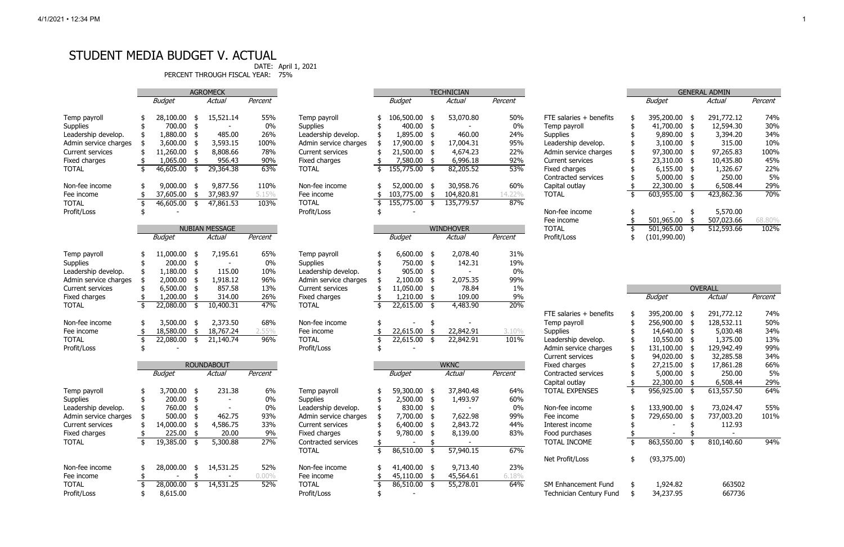# STUDENT MEDIA BUDGET V. ACTUAL

PERCENT THROUGH FISCAL YEAR: 75%

DATE: April 1, 2021

|                         |                           | <b>GENERAL ADMIN</b> |    |            |         |  |  |  |  |  |
|-------------------------|---------------------------|----------------------|----|------------|---------|--|--|--|--|--|
|                         |                           | <b>Budget</b>        |    | Actual     | Percent |  |  |  |  |  |
| FTE salaries + benefits | \$                        | 395,200.00           | \$ | 291,772.12 | 74%     |  |  |  |  |  |
| Temp payroll            | \$                        | 41,700.00            | \$ | 12,594.30  | 30%     |  |  |  |  |  |
| <b>Supplies</b>         | \$                        | 9,890.00             | \$ | 3,394.20   | 34%     |  |  |  |  |  |
| Leadership develop.     | \$                        | 3,100.00             | \$ | 315.00     | 10%     |  |  |  |  |  |
| Admin service charges   | \$                        | 97,300.00            | \$ | 97,265.83  | 100%    |  |  |  |  |  |
| <b>Current services</b> | \$                        | 23,310.00            | \$ | 10,435.80  | 45%     |  |  |  |  |  |
| Fixed charges           | \$                        | 6,155.00             | \$ | 1,326.67   | 22%     |  |  |  |  |  |
| Contracted services     | \$                        | 5,000.00             | \$ | 250.00     | 5%      |  |  |  |  |  |
| Capital outlay          | \$                        | 22,300.00            | \$ | 6,508.44   | 29%     |  |  |  |  |  |
| <b>TOTAL</b>            | $\overline{\mathfrak{s}}$ | 603,955.00           | \$ | 423,862.36 | 70%     |  |  |  |  |  |
| Non-fee income          | \$                        |                      | \$ | 5,570.00   |         |  |  |  |  |  |
| Fee income              | \$                        | 501,965.00           | \$ | 507,023.66 | 68.80%  |  |  |  |  |  |
| TOTAL                   | \$                        | 501,965.00           | \$ | 512,593.66 | 102%    |  |  |  |  |  |
| Profit/Loss             | \$                        | (101, 990.00)        |    |            |         |  |  |  |  |  |

|                            |                           |              |               | <b>OVERALL</b> |         |
|----------------------------|---------------------------|--------------|---------------|----------------|---------|
|                            |                           | Budget       |               | Actual         | Percent |
| FTE salaries + benefits    | \$                        | 395,200.00   | \$            | 291,772.12     | 74%     |
| Temp payroll               |                           | 256,900.00   | \$            | 128,532.11     | 50%     |
| <b>Supplies</b>            |                           | 14,640.00    |               | 5,030.48       | 34%     |
| Leadership develop.        |                           | 10,550.00    | \$<br>\$      | 1,375.00       | 13%     |
| Admin service charges      |                           | 131,100.00   | \$            | 129,942.49     | 99%     |
| Current services           |                           | 94,020.00    | \$            | 32,285.58      | 34%     |
| Fixed charges              |                           | 27,215.00    | \$            | 17,861.28      | 66%     |
| Contracted services        |                           | 5,000.00     | \$            | 250.00         | 5%      |
| Capital outlay             | \$\$\$\$\$\$\$\$          | 22,300.00    | \$            | 6,508.44       | 29%     |
| <b>TOTAL EXPENSES</b>      | $\overline{\mathfrak{s}}$ | 956,925.00   | \$            | 613,557.50     | 64%     |
| Non-fee income             |                           | 133,900.00   | \$            | 73,024.47      | 55%     |
| Fee income                 |                           | 729,650.00   | \$            | 737,003.20     | 101%    |
| Interest income            |                           |              | \$            | 112.93         |         |
| Food purchases             | \$\$\$\$\$                |              |               |                |         |
| TOTAL INCOME               |                           | 863,550.00   | $\frac{1}{3}$ | 810,140.60     | 94%     |
| Net Profit/Loss            | \$                        | (93, 375.00) |               |                |         |
| <b>SM Enhancement Fund</b> | \$                        | 1,924.82     |               | 663502         |         |

|                             |     |                       |      | <b>AGROMECK</b>          |          |                             |                      |      | <b>TECHNICIAN</b> |         |                                                       |                       |      | <b>GENERAL ADMIN</b> |         |
|-----------------------------|-----|-----------------------|------|--------------------------|----------|-----------------------------|----------------------|------|-------------------|---------|-------------------------------------------------------|-----------------------|------|----------------------|---------|
|                             |     | <b>Budget</b>         |      | <b>Actual</b>            | Percent  |                             | <b>Budget</b>        |      | <b>Actual</b>     | Percent |                                                       | <b>Budget</b>         |      | <b>Actual</b>        | Percent |
| Temp payroll                |     | 28,100.00             | -\$  | 15,521.14                | 55%      | Temp payroll                | 106,500.00           |      | 53,070.80         | 50%     | FTE salaries + benefits                               | 395,200.00 \$         |      | 291,772.12           | 74%     |
| <b>Supplies</b>             |     | 700.00                |      |                          | 0%       | <b>Supplies</b>             | 400.00               |      |                   | 0%      | Temp payroll                                          | 41,700.00 \$          |      | 12,594.30            | 30%     |
| Leadership develop.         |     | 1,880.00              |      | 485.00                   | 26%      | Leadership develop.         | 1,895.00             |      | 460.00            | 24%     | <b>Supplies</b>                                       | 9,890.00              |      | 3,394.20             | 34%     |
| Admin service charges       |     | 3,600.00              |      | 3,593.15                 | 100%     | Admin service charges       | 17,900.00            |      | 17,004.31         | 95%     | Leadership develop.                                   | 3,100.00              |      | 315.00               | 10%     |
| Current services            |     | 11,260.00             |      | 8,808.66                 | 78%      | Current services            | 21,500.00            |      | 4,674.23          | 22%     | Admin service charges                                 | 97,300.00             |      | 97,265.83            | 100%    |
| Fixed charges               |     | 1,065.00              |      | 956.43                   | 90%      | Fixed charges               | 7,580.00             |      | 6,996.18          | 92%     | Current services                                      | 23,310.00             |      | 10,435.80            | 45%     |
| <b>TOTAL</b>                | -\$ | 46,605.00             | -\$  | 29,364.38                | 63%      | <b>TOTAL</b>                | 155,775.00           | -\$  | 82,205.52         | 53%     | <b>Fixed charges</b>                                  | 6,155.00              | - \$ | 1,326.67             | 22%     |
|                             |     |                       |      |                          |          |                             |                      |      |                   |         | Contracted services                                   | $5,000.00$ \$         |      | 250.00               | 5%      |
| Non-fee income              |     | 9,000.00              |      | 9,877.56                 | 110%     | Non-fee income              | 52,000.00            | - \$ | 30,958.76         | 60%     | Capital outlay                                        | 22,300.00 \$          |      | 6,508.44             | 29%     |
| Fee income                  |     | 37,605.00             | \$   | 37,983.97                | 5.15%    | Fee income                  | 103,775.00           | -\$  | 104,820.81        | 14.22%  | <b>TOTAL</b>                                          | 603,955.00            | - \$ | 423,862.36           | 70%     |
| <b>TOTAL</b>                | -\$ | 46,605.00             | -\$  | 47,861.53                | 103%     | <b>TOTAL</b>                | 155,775.00           | -\$  | 135,779.57        | 87%     |                                                       |                       |      |                      |         |
| Profit/Loss                 |     |                       |      |                          |          | Profit/Loss                 |                      |      |                   |         | Non-fee income                                        |                       |      | 5,570.00             |         |
|                             |     |                       |      |                          |          |                             |                      |      |                   |         | Fee income                                            | 501,965.00            |      | 507,023.66           | 68.80%  |
|                             |     |                       |      | <b>NUBIAN MESSAGE</b>    |          |                             |                      |      | <b>WINDHOVER</b>  |         | <b>TOTAL</b>                                          | $501,965.00$ \$       |      | 512,593.66           | 102%    |
|                             |     | <b>Budget</b>         |      | <b>Actual</b>            | Percent  |                             | <b>Budget</b>        |      | Actual            | Percent | Profit/Loss                                           | (101, 990.00)         |      |                      |         |
|                             |     |                       |      |                          |          |                             |                      |      |                   |         |                                                       |                       |      |                      |         |
| Temp payroll                |     | 11,000.00             | -\$  | 7,195.61                 | 65%      | Temp payroll                | 6,600.00             | - \$ | 2,078.40          | 31%     |                                                       |                       |      |                      |         |
| <b>Supplies</b>             |     | 200.00                | -\$  |                          | 0%       | <b>Supplies</b>             | 750.00               | -\$  | 142.31            | 19%     |                                                       |                       |      |                      |         |
| Leadership develop.         |     | 1,180.00              |      | 115.00                   | 10%      | Leadership develop.         | 905.00               |      |                   | 0%      |                                                       |                       |      |                      |         |
| Admin service charges       |     | 2,000.00              |      | 1,918.12                 | 96%      | Admin service charges       | 2,100.00             |      | 2,075.35          | 99%     |                                                       |                       |      |                      |         |
| Current services            |     | 6,500.00              |      | 857.58                   | 13%      | Current services            | 11,050.00            |      | 78.84             | 1%      |                                                       |                       |      | <b>OVERALL</b>       |         |
| Fixed charges               |     | 1,200.00              |      | 314.00                   | 26%      | Fixed charges               | 1,210.00             |      | 109.00            | $9\%$   |                                                       | <b>Budget</b>         |      | Actual               | Percent |
| <b>TOTAL</b>                | -\$ | 22,080.00             | -\$  | 10,400.31                | 47%      | <b>TOTAL</b>                | \$<br>22,615.00 \$   |      | 4,483.90          | 20%     |                                                       |                       |      |                      |         |
|                             |     |                       |      |                          |          |                             |                      |      |                   |         | FTE salaries + benefits                               | 395,200.00 \$         |      | 291,772.12           | 74%     |
| Non-fee income              |     | 3,500.00              | - \$ | 2,373.50                 | 68%      | Non-fee income              |                      | -95  |                   |         | Temp payroll                                          | 256,900.00            | - \$ | 128,532.11           | 50%     |
| Fee income                  |     | 18,580.00             | \$   | 18,767.24                | 2.55%    | Fee income                  | 22,615.00            | - \$ | 22,842.91         | 3.10%   | <b>Supplies</b>                                       | 14,640.00             | - \$ | 5,030.48             | 34%     |
| <b>TOTAL</b>                |     | 22,080.00             | \$   | 21,140.74                | 96%      | <b>TOTAL</b>                | 22,615.00            | - \$ | 22,842.91         | 101%    | Leadership develop.                                   | 10,550.00             | - \$ | 1,375.00             | 13%     |
| Profit/Loss                 |     |                       |      |                          |          | Profit/Loss                 |                      |      |                   |         | Admin service charges                                 | 131,100.00            |      | 129,942.49           | 99%     |
|                             |     |                       |      |                          |          |                             |                      |      |                   |         | <b>Current services</b>                               | 94,020.00             |      | 32,285.58            | 34%     |
|                             |     |                       |      | <b>ROUNDABOUT</b>        |          |                             |                      |      | <b>WKNC</b>       |         | Fixed charges                                         | 27,215.00             |      | 17,861.28            | 66%     |
|                             |     | <b>Budget</b>         |      | Actual                   | Percent  |                             | <b>Budget</b>        |      | Actual            | Percent | Contracted services                                   | 5,000.00              | - \$ | 250.00               | 5%      |
|                             |     |                       |      |                          |          |                             |                      |      |                   |         | Capital outlay                                        | 22,300.00             |      | 6,508.44             | 29%     |
| Temp payroll                |     | 3,700.00              | -\$  | 231.38                   | 6%       | Temp payroll                | 59,300.00 \$         |      | 37,840.48         | 64%     | <b>TOTAL EXPENSES</b>                                 | 956,925.00 \$         |      | 613,557.50           | 64%     |
| Supplies                    |     | $200.00$ \$           |      | $\overline{\phantom{a}}$ | $0\%$    | Supplies                    | $2,500.00$ \$        |      | 1,493.97          | 60%     |                                                       |                       |      |                      |         |
| Leadership develop.         |     | 760.00                |      |                          | 0%       | Leadership develop.         | 830.00 \$            |      |                   | 0%      | Non-fee income                                        | 133,900.00 \$         |      | 73,024.47            | 55%     |
| Admin service charges       |     | 500.00                |      | 462.75                   | 93%      | Admin service charges       | 7,700.00             |      | 7,622.98          | 99%     | Fee income                                            | 729,650.00            |      | 737,003.20           | 101%    |
| Current services            |     | 14,000.00             |      | 4,586.75                 | 33%      | Current services            | 6,400.00             |      | 2,843.72          | 44%     | Interest income                                       |                       |      | 112.93               |         |
| Fixed charges               |     | 225.00                |      | 20.00                    | 9%       | Fixed charges               | 9,780.00             |      | 8,139.00          | 83%     | Food purchases                                        |                       |      |                      |         |
| <b>TOTAL</b>                | \$  | $19,385.00$ \$        |      | 5,300.88                 | 27%      | Contracted services         |                      |      |                   |         | TOTAL INCOME                                          | \$<br>863,550.00 \$   |      | 810,140.60           | 94%     |
|                             |     |                       |      |                          |          | <b>TOTAL</b>                | \$<br>$86,510.00$ \$ |      | 57,940.15         | 67%     |                                                       |                       |      |                      |         |
|                             |     |                       |      |                          |          |                             |                      |      |                   |         | Net Profit/Loss                                       | \$<br>(93, 375.00)    |      |                      |         |
|                             |     |                       |      |                          |          |                             |                      |      |                   |         |                                                       |                       |      |                      |         |
| Non-fee income              |     | 28,000.00             | -\$  | 14,531.25                | 52%      | Non-fee income              | 41,400.00 \$         |      | 9,713.40          | 23%     |                                                       |                       |      |                      |         |
| Fee income                  |     |                       |      |                          | $0.00\%$ | Fee income                  | 45,110.00            | -\$  | 45,564.61         | 6.18%   |                                                       |                       |      |                      |         |
| <b>TOTAL</b><br>Profit/Loss |     | 28,000.00<br>8,615.00 | \$   | 14,531.25                | 52%      | <b>TOTAL</b><br>Profit/Loss | 86,510.00 \$         |      | 55,278.01         | 64%     | SM Enhancement Fund<br><b>Technician Century Fund</b> | 1,924.82<br>34,237.95 |      | 663502<br>667736     |         |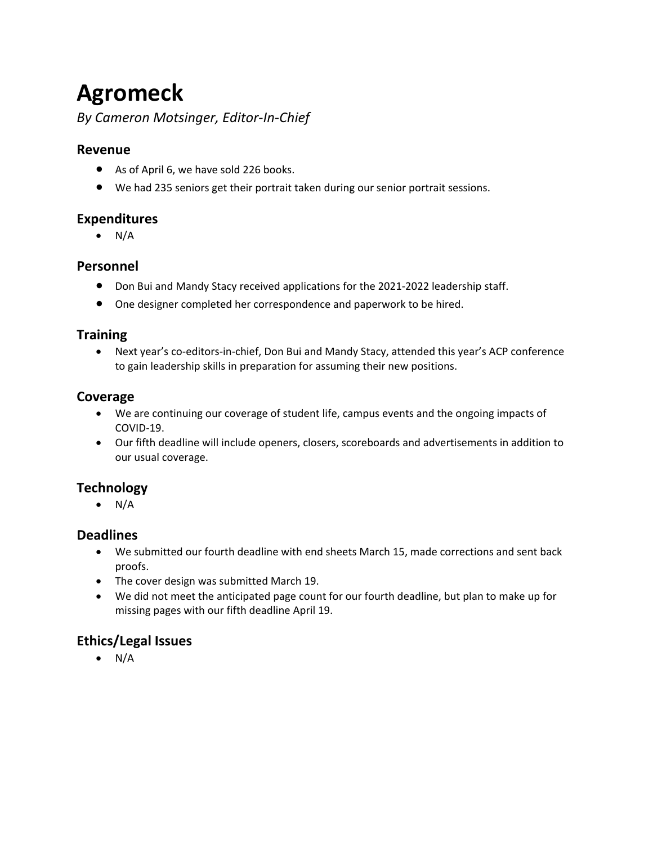# **Agromeck**

# *By Cameron Motsinger, Editor-In-Chief*

## **Revenue**

- As of April 6, we have sold 226 books.
- We had 235 seniors get their portrait taken during our senior portrait sessions.

# **Expenditures**

 $\bullet$  N/A

## **Personnel**

- Don Bui and Mandy Stacy received applications for the 2021-2022 leadership staff.
- One designer completed her correspondence and paperwork to be hired.

## **Training**

 • Next year's co-editors-in-chief, Don Bui and Mandy Stacy, attended this year's ACP conference to gain leadership skills in preparation for assuming their new positions.

# **Coverage**

- We are continuing our coverage of student life, campus events and the ongoing impacts of COVID-19.
- • Our fifth deadline will include openers, closers, scoreboards and advertisements in addition to our usual coverage.

# **Technology**

 $\bullet$  N/A

# **Deadlines**

- • We submitted our fourth deadline with end sheets March 15, made corrections and sent back proofs.
- The cover design was submitted March 19.
- We did not meet the anticipated page count for our fourth deadline, but plan to make up for missing pages with our fifth deadline April 19.

# **Ethics/Legal Issues**

 $\bullet$  N/A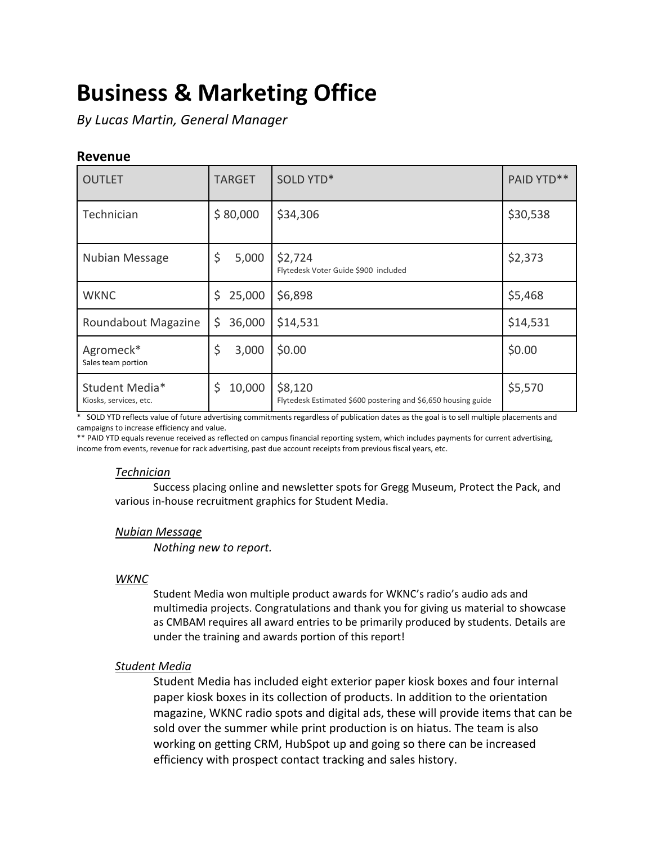# **Business & Marketing Office**

*By Lucas Martin, General Manager* 

#### **Revenue**

| <b>OUTLET</b>                            | <b>TARGET</b> | SOLD YTD*                                                                | PAID YTD** |
|------------------------------------------|---------------|--------------------------------------------------------------------------|------------|
| Technician                               | \$80,000      | \$34,306                                                                 | \$30,538   |
| Nubian Message                           | \$<br>5,000   | \$2,724<br>Flytedesk Voter Guide \$900 included                          | \$2,373    |
| <b>WKNC</b>                              | \$<br>25,000  | \$6,898                                                                  | \$5,468    |
| Roundabout Magazine                      | \$<br>36,000  | \$14,531                                                                 | \$14,531   |
| Agromeck*<br>Sales team portion          | \$<br>3,000   | \$0.00                                                                   | \$0.00     |
| Student Media*<br>Kiosks, services, etc. | \$<br>10,000  | \$8,120<br>Flytedesk Estimated \$600 postering and \$6,650 housing guide | \$5,570    |

 \* SOLD YTD reflects value of future advertising commitments regardless of publication dates as the goal is to sell multiple placements and campaigns to increase efficiency and value.

 \*\* PAID YTD equals revenue received as reflected on campus financial reporting system, which includes payments for current advertising, income from events, revenue for rack advertising, past due account receipts from previous fiscal years, etc.

#### *Technician*

Success placing online and newsletter spots for Gregg Museum, Protect the Pack, and various in-house recruitment graphics for Student Media.

#### *Nubian Message*

*Nothing new to report.* 

#### *WKNC*

 multimedia projects. Congratulations and thank you for giving us material to showcase as CMBAM requires all award entries to be primarily produced by students. Details are Student Media won multiple product awards for WKNC's radio's audio ads and under the training and awards portion of this report!

#### *Student Media*

 Student Media has included eight exterior paper kiosk boxes and four internal paper kiosk boxes in its collection of products. In addition to the orientation magazine, WKNC radio spots and digital ads, these will provide items that can be sold over the summer while print production is on hiatus. The team is also working on getting CRM, HubSpot up and going so there can be increased efficiency with prospect contact tracking and sales history.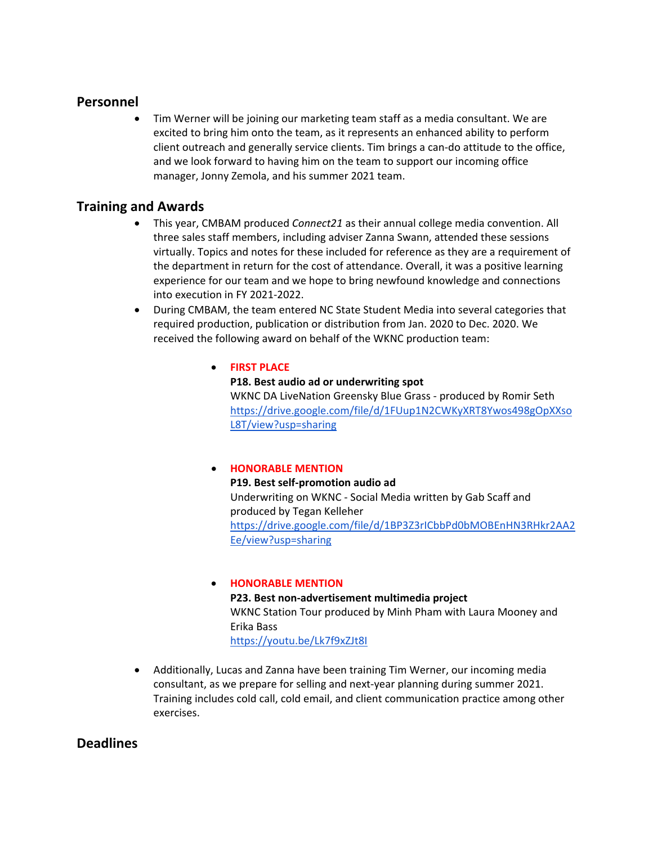#### **Personnel**

 client outreach and generally service clients. Tim brings a can-do attitude to the office, • Tim Werner will be joining our marketing team staff as a media consultant. We are excited to bring him onto the team, as it represents an enhanced ability to perform and we look forward to having him on the team to support our incoming office manager, Jonny Zemola, and his summer 2021 team.

#### **Training and Awards**

- into execution in FY 2021-2022. • This year, CMBAM produced *Connect21* as their annual college media convention. All three sales staff members, including adviser Zanna Swann, attended these sessions virtually. Topics and notes for these included for reference as they are a requirement of the department in return for the cost of attendance. Overall, it was a positive learning experience for our team and we hope to bring newfound knowledge and connections
- • During CMBAM, the team entered NC State Student Media into several categories that required production, publication or distribution from Jan. 2020 to Dec. 2020. We received the following award on behalf of the WKNC production team:

#### • **FIRST PLACE**

**P18. Best audio ad or underwriting spot**  WKNC DA LiveNation Greensky Blue Grass - produced by Romir Seth [https://drive.google.com/file/d/1FUup1N2CWKyXRT8Ywos498gOpXXso](https://drive.google.com/file/d/1FUup1N2CWKyXRT8Ywos498gOpXXsoL8T/view?usp=sharing)  [L8T/view?usp=sharing](https://drive.google.com/file/d/1FUup1N2CWKyXRT8Ywos498gOpXXsoL8T/view?usp=sharing) 

#### • **HONORABLE MENTION**

 [Ee/view?usp=sharing](https://drive.google.com/file/d/1BP3Z3rICbbPd0bMOBEnHN3RHkr2AA2Ee/view?usp=sharing) **P19. Best self-promotion audio ad**  Underwriting on WKNC - Social Media written by Gab Scaff and produced by Tegan Kelleher [https://drive.google.com/file/d/1BP3Z3rICbbPd0bMOBEnHN3RHkr2AA2](https://drive.google.com/file/d/1BP3Z3rICbbPd0bMOBEnHN3RHkr2AA2Ee/view?usp=sharing) 

#### WKNC Station Tour produced by Minh Pham with Laura Mooney and • **HONORABLE MENTION P23. Best non-advertisement multimedia project**  Erika Bass <https://youtu.be/Lk7f9xZJt8I>

 • Additionally, Lucas and Zanna have been training Tim Werner, our incoming media consultant, as we prepare for selling and next-year planning during summer 2021. Training includes cold call, cold email, and client communication practice among other exercises.

#### **Deadlines**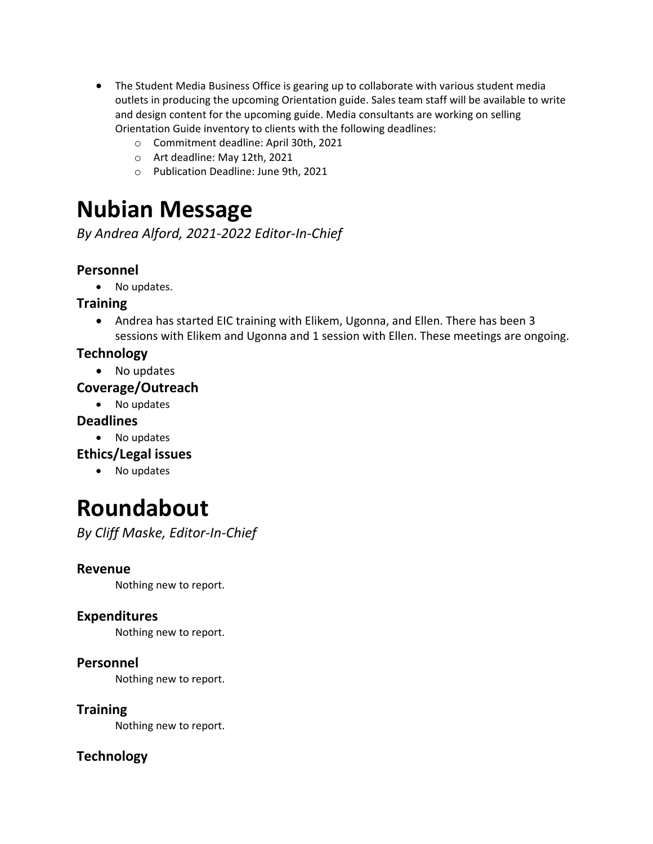- The Student Media Business Office is gearing up to collaborate with various student media outlets in producing the upcoming Orientation guide. Sales team staff will be available to write and design content for the upcoming guide. Media consultants are working on selling Orientation Guide inventory to clients with the following deadlines:
	- o Commitment deadline: April 30th, 2021
	- o Art deadline: May 12th, 2021
	- o Publication Deadline: June 9th, 2021

# **Nubian Message**

*By Andrea Alford, 2021-2022 Editor-In-Chief* 

# **Personnel**

• No updates.

# **Training**

• Andrea has started EIC training with Elikem, Ugonna, and Ellen. There has been 3 sessions with Elikem and Ugonna and 1 session with Ellen. These meetings are ongoing.

# **Technology**

• No updates

## **Coverage/Outreach**

• No updates

# **Deadlines**

- No updates
- **Ethics/Legal issues** 
	- No updates

# **Roundabout**

*By Cliff Maske, Editor-In-Chief* 

## **Revenue**

Nothing new to report.

# **Expenditures**

Nothing new to report.

## **Personnel**

Nothing new to report.

# **Training**

Nothing new to report.

# **Technology**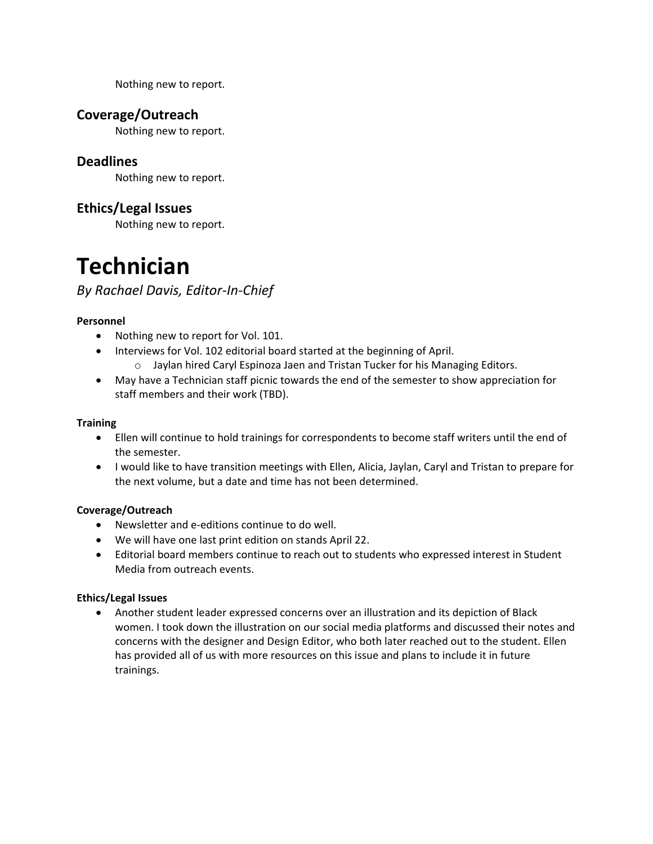Nothing new to report.

### **Coverage/Outreach**

Nothing new to report.

#### **Deadlines**

Nothing new to report.

## **Ethics/Legal Issues**

Nothing new to report.

# **Technician**

## *By Rachael Davis, Editor-In-Chief*

#### **Personnel**

- Nothing new to report for Vol. 101.
- • Interviews for Vol. 102 editorial board started at the beginning of April. o Jaylan hired Caryl Espinoza Jaen and Tristan Tucker for his Managing Editors.
- May have a Technician staff picnic towards the end of the semester to show appreciation for staff members and their work (TBD).

#### **Training**

- Ellen will continue to hold trainings for correspondents to become staff writers until the end of the semester.
- • I would like to have transition meetings with Ellen, Alicia, Jaylan, Caryl and Tristan to prepare for the next volume, but a date and time has not been determined.

#### **Coverage/Outreach**

- Newsletter and e-editions continue to do well.
- We will have one last print edition on stands April 22.
- Media from outreach events. • Editorial board members continue to reach out to students who expressed interest in Student

#### **Ethics/Legal Issues**

 women. I took down the illustration on our social media platforms and discussed their notes and trainings. • Another student leader expressed concerns over an illustration and its depiction of Black concerns with the designer and Design Editor, who both later reached out to the student. Ellen has provided all of us with more resources on this issue and plans to include it in future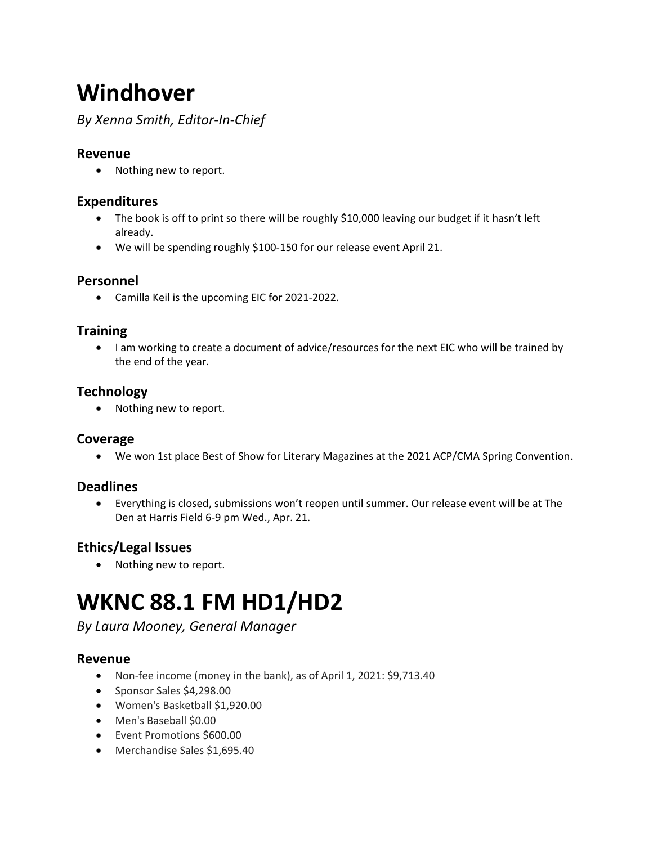# **Windhover**

*By Xenna Smith, Editor-In-Chief* 

## **Revenue**

• Nothing new to report.

# **Expenditures**

- • The book is off to print so there will be roughly \$10,000 leaving our budget if it hasn't left already.
- We will be spending roughly \$100-150 for our release event April 21.

## **Personnel**

• Camilla Keil is the upcoming EIC for 2021-2022.

### **Training**

• I am working to create a document of advice/resources for the next EIC who will be trained by the end of the year.

# **Technology**

• Nothing new to report.

#### **Coverage**

• We won 1st place Best of Show for Literary Magazines at the 2021 ACP/CMA Spring Convention.

# **Deadlines**

 Den at Harris Field 6-9 pm Wed., Apr. 21. • Everything is closed, submissions won't reopen until summer. Our release event will be at The

# **Ethics/Legal Issues**

• Nothing new to report.

# **WKNC 88.1 FM HD1/HD2**

## *By Laura Mooney, General Manager*

## **Revenue**

- Non-fee income (money in the bank), as of April 1, 2021: \$[9,713.40](https://9,713.40)
- Sponsor Sales \$[4,298.00](https://4,298.00)
- Women's Basketball \$[1,920.00](https://1,920.00)
- Men's Baseball \$0.00
- Event Promotions \$600.00
- Merchandise Sales [\\$1,695.40](https://1,695.40)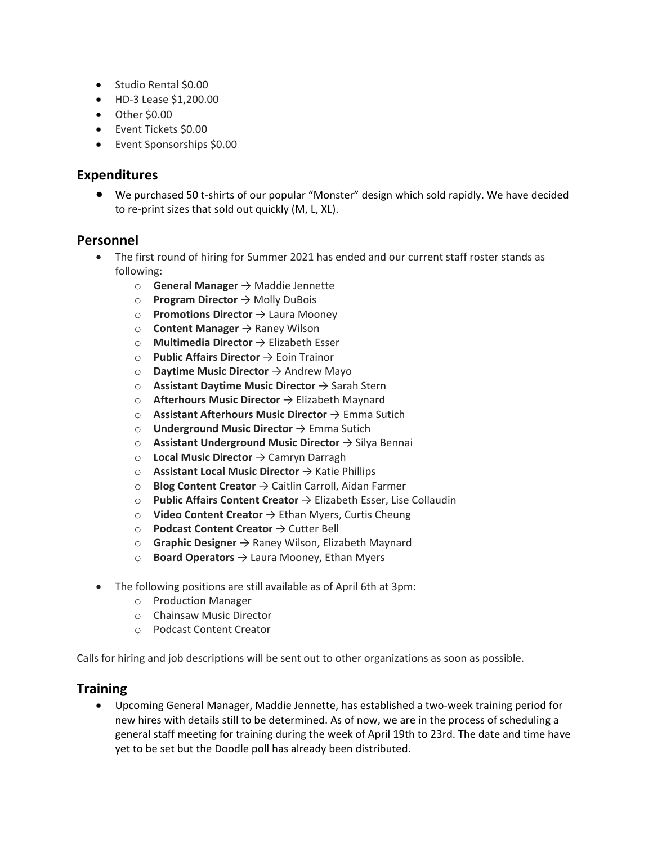- Studio Rental \$0.00
- HD-3 Lease [\\$1,200.00](https://1,200.00)
- Other \$0.00
- Event Tickets \$0.00
- Event Sponsorships \$0.00

#### **Expenditures**

• We purchased 50 t-shirts of our popular "Monster" design which sold rapidly. We have decided to re-print sizes that sold out quickly (M, L, XL).

### **Personnel**

- • The first round of hiring for Summer 2021 has ended and our current staff roster stands as following:
	- o **General Manager** → Maddie Jennette
	- o **Program Director** → Molly DuBois
	- o **Promotions Director** → Laura Mooney
	- o **Content Manager** → Raney Wilson
	- o **Multimedia Director** → Elizabeth Esser
	- o **Public Affairs Director** → Eoin Trainor
	- o **Daytime Music Director** → Andrew Mayo
	- o **Assistant Daytime Music Director** → Sarah Stern
	- o **Afterhours Music Director** → Elizabeth Maynard
	- o **Assistant Afterhours Music Director** → Emma Sutich
	- o **Underground Music Director** → Emma Sutich
	- o **Assistant Underground Music Director** → Silya Bennai
	- o **Local Music Director** → Camryn Darragh
	- o **Assistant Local Music Director** → Katie Phillips
	- o **Blog Content Creator** → Caitlin Carroll, Aidan Farmer
	- o **Public Affairs Content Creator** → Elizabeth Esser, Lise Collaudin
	- o **Video Content Creator** → Ethan Myers, Curtis Cheung
	- o **Podcast Content Creator** → Cutter Bell
	- o **Graphic Designer** → Raney Wilson, Elizabeth Maynard
	- o **Board Operators** → Laura Mooney, Ethan Myers
- The following positions are still available as of April 6th at 3pm:
	- o Production Manager
	- o Chainsaw Music Director
	- o Podcast Content Creator

Calls for hiring and job descriptions will be sent out to other organizations as soon as possible.

#### **Training**

 • Upcoming General Manager, Maddie Jennette, has established a two-week training period for general staff meeting for training during the week of April 19th to 23rd. The date and time have new hires with details still to be determined. As of now, we are in the process of scheduling a yet to be set but the Doodle poll has already been distributed.